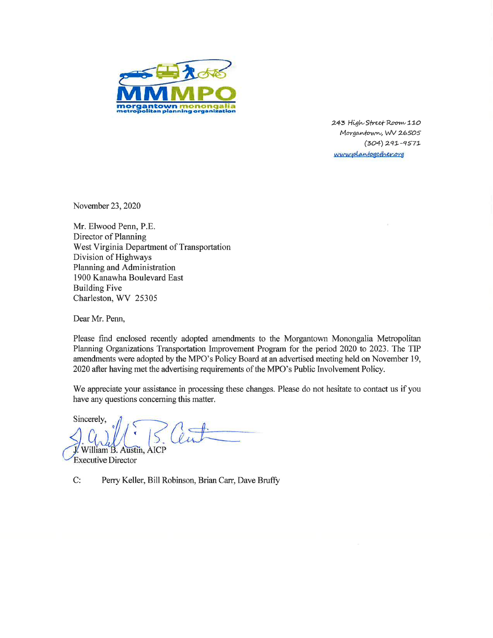

243 High Street Room 110 Morgantown, WV 26505  $(304)$  291-9571 www.plantogether.org

November 23, 2020

Mr. Elwood Penn, P.E. Director of Planning West Virginia Department of Transportation Division of Highways Planning and Administration 1900 Kanawha Boulevard East **Building Five** Charleston, WV 25305

Dear Mr. Penn,

Please find enclosed recently adopted amendments to the Morgantown Monongalia Metropolitan Planning Organizations Transportation Improvement Program for the period 2020 to 2023. The TIP amendments were adopted by the MPO's Policy Board at an advertised meeting held on November 19, 2020 after having met the advertising requirements of the MPO's Public Involvement Policy.

We appreciate your assistance in processing these changes. Please do not hesitate to contact us if you have any questions concerning this matter.

Sincerely. AICP William B. Austin,

**Executive Director** 

 $C:$ Perry Keller, Bill Robinson, Brian Carr, Dave Bruffy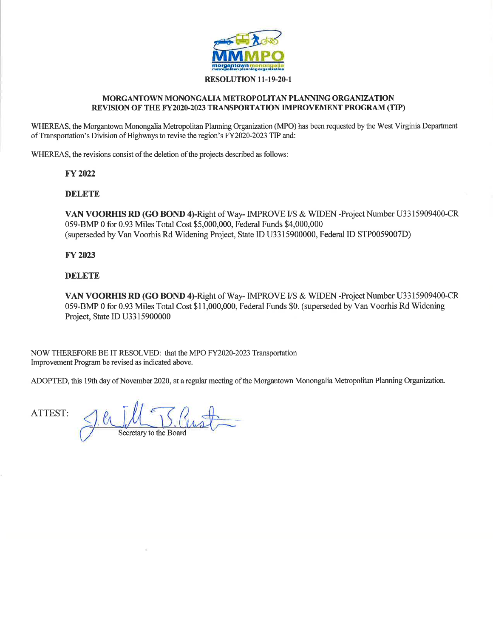

### RESOLUTION 11-19-20-1

#### MORGANTOWN MONONGALIA METROPOLITAN PLANNING ORGANIZATION REVISION OF THE FY2020-2023 TRANSPORTATION IMPROVEMENT PROGRAM (TIP)

WHEREAS, the Morgantown Monongalia Metropolitan Planning Organization (MPO) has been requested by the West Virginia Department of Transportation's Division of Highways to revise the region's FY2020-2023 TIP and:

WHEREAS, the revisions consist of the deletion of the projects described as follows:

#### **FY 2022**

### **DELETE**

VAN VOORHIS RD (GO BOND 4)-Right of Way- IMPROVE I/S & WIDEN -Project Number U3315909400-CR 059-BMP 0 for 0.93 Miles Total Cost \$5,000,000, Federal Funds \$4,000,000 (superseded by Van Voorhis Rd Widening Project, State ID U3315900000, Federal ID STP0059007D)

### **FY 2023**

### **DELETE**

VAN VOORHIS RD (GO BOND 4)-Right of Way- IMPROVE I/S & WIDEN -Project Number U3315909400-CR 059-BMP 0 for 0.93 Miles Total Cost \$11,000,000, Federal Funds \$0. (superseded by Van Voorhis Rd Widening Project, State ID U3315900000

NOW THEREFORE BE IT RESOLVED: that the MPO FY2020-2023 Transportation Improvement Program be revised as indicated above.

ADOPTED, this 19th day of November 2020, at a regular meeting of the Morgantown Monongalia Metropolitan Planning Organization.

ATTEST: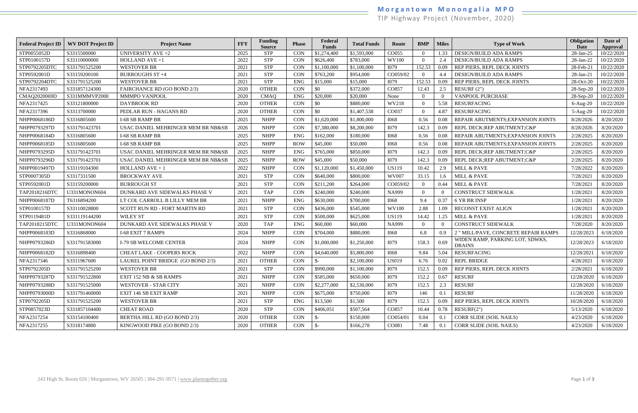# **M o r g a n t o w n M o n o n g a l i a M P O**

TIP Highway Project (November, 2020)

| <b>Federal Project ID</b> | <b>WV DOT Project ID</b> | <b>Project Name</b>                | <b>FFY</b> | <b>Funding</b><br><b>Source</b> | <b>Phase</b> | Federal<br><b>Funds</b> | <b>Total Funds</b> | Route        | <b>BMP</b> | <b>Miles</b>   | <b>Type of Work</b>                              | Obligation<br><b>Date</b> | Date of<br>Approval |
|---------------------------|--------------------------|------------------------------------|------------|---------------------------------|--------------|-------------------------|--------------------|--------------|------------|----------------|--------------------------------------------------|---------------------------|---------------------|
| STP0055052D               | S3315500000              | <b>UNIVERSITY AVE +2</b>           | 2025       | <b>STP</b>                      | <b>CON</b>   | \$1,274,400             | \$1,593,000        | CO055        | $\Omega$   | 1.33           | DESIGN/BUILD ADA RAMPS                           | $28$ -Jan- $25$           | 10/22/2020          |
| STP0100157D               | S33110000000             | HOLLAND AVE +1                     | 2022       | <b>STP</b>                      | CON          | \$626,400               | \$783,000          | <b>WV100</b> | $\Omega$   | 2.4            | DESIGN/BUILD ADA RAMPS                           | 28-Jan-22                 | 10/22/2020          |
| STP0792205DT0             | S331791525200            | <b>WESTOVER BR</b>                 | 2021       | <b>STP</b>                      | CON          | \$1,100,000             | \$1,100,000        | I079         | 152.53     | 0.09           | REP PIERS, REPL DECK JOINTS                      | 28-Feb-21                 | 10/22/2020          |
| STP0592001D               | S33159200100             | <b>BURROUGHS ST +4</b>             | 2021       | <b>STP</b>                      | <b>CON</b>   | \$763,200               | \$954,000          | CO059/02     |            | 4.4            | DESIGN/BUILD ADA RAMPS                           | 28-Jan-21                 | 10/22/2020          |
| STP0792204DTC             | S331791525200            | <b>WESTOVER BR</b>                 | 2021       | <b>STP</b>                      | <b>ENG</b>   | \$15,000                | \$15,000           | I079         | 152.53     | 0.09           | REP PIERS, REPL DECK JOINTS                      | 28-Oct-20                 | 10/22/2020          |
| NFA2317493                | S331857124300            | FAIRCHANCE RD (GO BOND 2/3)        | 2020       | <b>OTHER</b>                    | <b>CON</b>   | \$0                     | \$372,000          | CO857        | 12.43      | 2.5            | RESURF $(2")$                                    | $28-Sep-20$               | 10/22/2020          |
| CMAQ2020069D              | S331MMMVP2000            | <b>MMMPO VANPOOL</b>               | 2020       | <b>CMAQ</b>                     | <b>ENG</b>   | \$20,000                | \$20,000           | None         | $\Omega$   | $\overline{0}$ | VANPOOL PURCHASE                                 | $28-Sep-20$               | 10/22/2020          |
| NFA2317425                | S33121800000             | <b>DAYBROOK RD</b>                 | 2020       | <b>OTHER</b>                    | CON          | \$0                     | \$880,000          | WV218        | $\Omega$   | 5.58           | <b>RESURFACING</b>                               | $6-Aug-20$                | 10/22/2020          |
| NFA2317396                | S3313700000              | PEDLAR RUN - HAGANS RD             | 2020       | <b>OTHER</b>                    | <b>CON</b>   | \$0                     | \$1,407,538        | CO037        | $\Omega$   | 4.87           | <b>RESURFACING</b>                               | $5-Aug-20$                | 10/22/2020          |
| NHPP0068186D              | S3316805600              | <b>I-68 SB RAMP BR</b>             | 2025       | <b>NHPP</b>                     | CON          | \$1,620,000             | \$1,800,000        | <b>I068</b>  | 0.56       | 0.08           | REPAIR ABUTMENTS; EXPANSION JOINTS               | 8/28/2026                 | 8/20/2020           |
| NHPP0793297D              | S331791423701            | USAC DANIEL MEHRINGER MEM BR NB&SB | 2026       | <b>NHPP</b>                     | <b>CON</b>   | \$7,380,000             | \$8,200,000        | <b>I079</b>  | 142.3      | 0.09           | REPL DECK;REP ABUTMENT;C&P                       | 8/28/2026                 | 8/20/2020           |
| NHPP0068184D              | S3316805600              | <b>I-68 SB RAMP BR</b>             | 2025       | <b>NHPP</b>                     | <b>ENG</b>   | \$162,000               | \$180,000          | <b>I068</b>  | 0.56       | 0.08           | REPAIR ABUTMENTS; EXPANSION JOINTS               | 2/28/2025                 | 8/20/2020           |
| NHPP0068185D              | S3316805600              | <b>I-68 SB RAMP BR</b>             | 2025       | <b>NHPP</b>                     | <b>ROW</b>   | \$45,000                | \$50,000           | <b>I068</b>  | 0.56       | 0.08           | REPAIR ABUTMENTS; EXPANSION JOINTS               | 2/28/2025                 | 8/20/2020           |
| NHPP0793295D              | S331791423701            | USAC DANIEL MEHRINGER MEM BR NB&SB | 2025       | <b>NHPP</b>                     | <b>ENG</b>   | \$765,000               | \$850,000          | <b>I079</b>  | 142.3      | 0.09           | REPL DECK;REP ABUTMENT;C&P                       | 2/28/2025                 | 8/20/2020           |
| NHPP0793296D              | S331791423701            | USAC DANIEL MEHRINGER MEM BR NB&SB | 2025       | <b>NHPP</b>                     | <b>ROW</b>   | \$45,000                | \$50,000           | <b>I079</b>  | 142.3      | 0.09           | REPL DECK;REP ABUTMENT;C&P                       | 2/28/2025                 | 8/20/2020           |
| NHPP0019497D              | S33119104300             | HOLLAND $AVE + 1$                  | 2022       | <b>NHPP</b>                     | <b>CON</b>   | \$1,120,000             | \$1,450,000        | <b>US119</b> | 10.42      | 2.9            | MILL & PAVE                                      | 7/28/2022                 | 8/20/2020           |
| STP0007305D               | S3317331500              | <b>BROCKWAY AVE</b>                | 2021       | <b>STP</b>                      | CON          | \$640,000               | \$800,000          | <b>WV007</b> | 33.15      | 1.6            | MILL & PAVE                                      | 7/28/2021                 | 8/20/2020           |
| STP0592001D               | S33159200000             | <b>BURROUGH ST</b>                 | 2021       | <b>STP</b>                      | <b>CON</b>   | \$211,200               | \$264,000          | CO059/02     | $\Omega$   | 0.44           | MILL & PAVE                                      | 7/28/2021                 | 8/20/2020           |
| TAP2018216DTC             | U331MONON604             | DUNKARD AVE SIDEWALKS PHASE V      | 2021       | <b>TAP</b>                      | <b>CON</b>   | \$240,000               | \$240,000          | <b>NA999</b> | $\Omega$   | $\overline{0}$ | <b>CONSTRUCT SIDEWALK</b>                        | 1/28/202                  | 8/20/2020           |
| NHPP0068187D              | T6316894200              | LT COL CARROLL B LILLY MEM BR      | 2021       | <b>NHPP</b>                     | <b>ENG</b>   | \$630,000               | \$700,000          | <b>I068</b>  | 9.4        | 0.37           | 6 YR BR INSP                                     | 1/28/202                  | 8/20/2020           |
| STP0100157D               | S33110028800             | SCOTT RUN RD - FORT MARTIN RD      | 2021       | <b>STP</b>                      | <b>CON</b>   | \$436,000               | \$545,000          | <b>WV100</b> | 2.88       | 1.09           | RECONST EXIST ALIGN                              | 1/28/2021                 | 8/20/2020           |
| STP0119481D               | S331119144200            | <b>WILEY ST</b>                    | 2021       | <b>STP</b>                      | <b>CON</b>   | \$500,000               | \$625,000          | <b>US119</b> | 14.42      | 1.25           | MILL & PAVE                                      | 1/28/2021                 | 8/20/2020           |
| TAP2018215DTO             | U331MONON604             | DUNKARD AVE SIDEWALKS PHASE V      | 2020       | <b>TAP</b>                      | <b>ENG</b>   | \$60,000                | \$60,000           | <b>NA999</b> | $\Omega$   | $\theta$       | <b>CONSTRUCT SIDEWALK</b>                        | 7/28/2020                 | 8/20/2020           |
| NHPP0068183D              | S3316868000              | <b>I-68 EXIT 7 RAMPS</b>           | 2024       | <b>NHPP</b>                     | <b>CON</b>   | \$704,000               | \$880,000          | <b>I068</b>  | 6.8        | 0.9            | 2 " MILL/PAVE, CONCRETE REPAIR RAMPS             | 12/28/2023                | 6/18/2020           |
| NHPP0793286D              | S331791583000            | <b>I-79 SB WELCOME CENTER</b>      | 2024       | <b>NHPP</b>                     | <b>CON</b>   | \$1,000,000             | \$1,250,000        | <b>I079</b>  | 158.3      | 0.69           | WIDEN RAMP, PARKING LOT, SDWKS,<br><b>DRAINS</b> | 12/28/2023                | 6/18/2020           |
| NHPP0068182D              | S3316898400              | CHEAT LAKE - COOPERS ROCK          | 2022       | <b>NHPP</b>                     | <b>CON</b>   | \$4,640,000             | \$5,800,000        | <b>I068</b>  | 9.84       | 5.04           | <b>RESURFACING</b>                               | 12/28/2021                | 6/18/2020           |
| NFA2317346                | S3311967600              | LAUREL POINT BRIDGE (GO BOND 2/3)  | 2021       | <b>OTHER</b>                    | <b>CON</b>   | $S-$                    | \$2,100,000        | <b>US019</b> | 6.76       | 0.02           | <b>REPL BRIDGE</b>                               | 4/28/2021                 | 6/18/2020           |
| STP0792205D               | S331791525200            | WESTOVER BR                        | 2021       | <b>STP</b>                      | CON          | \$990,000               | \$1,100,000        | I079         | 152.5      | 0.09           | REP PIERS, REPL DECK JOINTS                      | 2/28/2021                 | 6/18/2020           |
| NHPP0793287D              | S331791522800            | EXIT 152 NB & SB RAMPS             | 2021       | <b>NHPP</b>                     | <b>CON</b>   | \$585,000               | \$650,000          | I079         | 152.2      | 0.67           | <b>RESURF</b>                                    | 12/28/2020                | 6/18/2020           |
| NHPP0793288D              | S331791525000            | <b>WESTOVER - STAR CITY</b>        | 2021       | <b>NHPP</b>                     | <b>CON</b>   | \$2,277,000             | \$2,530,000        | I079         | 152.5      | 2.3            | <b>RESURF</b>                                    | 12/28/2020                | 6/18/2020           |
| NHPP0793000D              | S331791460000            | EXIT 146 SB EXIT RAMP              | 2021       | <b>NHPP</b>                     | <b>CON</b>   | \$675,000               | \$750,000          | <b>I079</b>  | 146        | 0.1            | <b>RESURF</b>                                    | 11/28/2020                | 6/18/2020           |
| STP0792205D               | S331791525200            | <b>WESTOVER BR</b>                 | 2021       | <b>STP</b>                      | ENG          | \$13,500                | \$1,500            | <b>I079</b>  | 152.5      | 0.09           | REP PIERS, REPL DECK JOINTS                      | 10/28/2020                | 6/18/2020           |
| STP0857023D               | S331857104400            | <b>CHEAT ROAD</b>                  | 2020       | <b>STP</b>                      | <b>CON</b>   | \$406,051               | \$507,564          | CO857        | 10.44      | 0.78           | RESURF(2")                                       | 5/13/2020                 | 6/18/2020           |
| NFA2317254                | S33154100400             | BERTHA HILL RD (GO BOND 2/3)       | 2020       | <b>OTHER</b>                    | <b>CON</b>   | $\mathcal{S}$ -         | \$150,000          | CO054/01     | 0.04       | 0.1            | CORR SLIDE (SOIL NAILS)                          | 4/23/2020                 | 6/18/2020           |
| NFA2317255                | S3318174800              | KINGWOOD PIKE (GO BOND 2/3)        | 2020       | <b>OTHER</b>                    | <b>CON</b>   | $\mathcal{S}$ -         | \$166,278          | CO081        | 7.48       | 0.1            | CORR SLIDE (SOIL NAILS)                          | 4/23/2020                 | 6/18/2020           |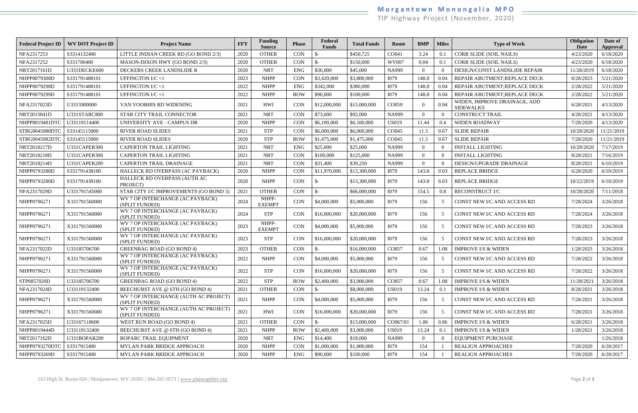# **M o r g a n t o w n M o n o n g a l i a M P O**

TIP Highway Project (November, 2020)

| <b>Federal Project ID</b> | <b>WV DOT Project ID</b> | <b>Project Name</b>                                     | <b>FFY</b> | <b>Funding</b><br><b>Source</b> | <b>Phase</b> | Federal<br><b>Funds</b> | <b>Total Funds</b> | Route        | <b>BMP</b> | <b>Miles</b> | <b>Type of Work</b>                              | Obligation<br>Date | Date of<br>Approval |
|---------------------------|--------------------------|---------------------------------------------------------|------------|---------------------------------|--------------|-------------------------|--------------------|--------------|------------|--------------|--------------------------------------------------|--------------------|---------------------|
| NFA2317253                | S3314132400              | LITTLE INDIAN CREEK RD (GO BOND 2/3)                    | 2020       | <b>OTHER</b>                    | <b>CON</b>   |                         | \$450,725          | CO041        | 3.24       | 0.1          | CORR SLIDE (SOIL NAILS)                          | 4/23/2020          | 6/18/2020           |
| NFA2317252                | S331700400               | MASON-DIXON HWY (GO BOND 2/3)                           | 2020       | <b>OTHER</b>                    | <b>CON</b>   | \$-                     | \$150,000          | <b>WV007</b> | 0.04       | 0.1          | CORR SLIDE (SOIL NAILS)                          | 4/23/2020          | 6/18/2020           |
| NRT2017161D               | U331DECKE600             | DECKERS CREEK LANDSLIDE R                               | 2020       | <b>NRT</b>                      | <b>ENG</b>   | \$36,000                | \$45,000           | <b>NA999</b> |            | $\theta$     | DESIGN/CONST LANDSLIDE REPAIR                    | 11/28/2019         | 6/18/2020           |
| NHPP0079300D              | S331791488101            | <b>UFFINGTON I/C+1</b>                                  | 2023       | <b>NHPP</b>                     | CON          | \$3,420,000             | \$3,800,000        | <b>I079</b>  | 148.8      | 0.04         | REPAIR ABUTMENT; REPLACE DECK                    | 8/28/2023          | 5/21/2020           |
| NHPP0079298D              | S331791488101            | <b>UFFINGTON I/C+1</b>                                  | 2022       | <b>NHPP</b>                     | <b>ENG</b>   | \$342,000               | \$380,000          | <b>I079</b>  | 148.8      | 0.04         | REPAIR ABUTMENT; REPLACE DECK                    | 2/28/2022          | 5/21/2020           |
| NHPP0079299D              | S331791488101            | <b>UFFINGTON I/C+1</b>                                  | 2022       | <b>NHPP</b>                     | <b>ROW</b>   | \$90,000                | \$100,000          | <b>I079</b>  | 148.8      | 0.04         | REPAIR ABUTMENT; REPLACE DECK                    | 2/28/2022          | 5/21/2020           |
| NFA2317023D               | U3315900000              | VAN VOORHIS RD WIDENING                                 | 2021       | <b>HWI</b>                      | <b>CON</b>   | \$12,000,000            | \$15,000,000       | CO059        |            | 0.94         | WIDEN, IMPROVE DRAINAGE, ADD<br><b>SIDEWALKS</b> | 6/28/2021          | 4/13/2020           |
| NRT2015041D               | U331STARC800             | STAR CITY TRAIL CONNECTOR                               | 2021       | <b>NRT</b>                      | <b>CON</b>   | \$73,600                | \$92,000           | <b>NA999</b> |            | $\Omega$     | <b>CONSTRUCT TRAIL</b>                           | 4/28/2021          | 4/13/2020           |
| NHPP0019481DT0            | U33119114400             | UNIVERSITY AVE - CAMPUS DR                              | 2020       | <b>NHPP</b>                     | <b>CON</b>   | \$6,100,000             | \$6,100,000        | <b>US019</b> | 11.44      | $0.4\,$      | <b>WIDEN ROADWAY</b>                             | 7/28/2020          | 4/13/2020           |
| STBG0045080DTC            | S33145115000             | <b>RIVER ROAD SLIDES</b>                                | 2021       | <b>STP</b>                      | CON          | \$6,000,000             | \$6,000,000        | CO045        | 11.5       | 0.67         | <b>SLIDE REPAIR</b>                              | 10/28/2020         | 11/21/2019          |
| STBG0045082DTC            | S33145115000             | <b>RIVER ROAD SLIDES</b>                                | 2020       | <b>STP</b>                      | <b>ROW</b>   | \$1,475,000             | \$1,475,000        | CO045        | 11.5       | 0.67         | <b>SLIDE REPAIR</b>                              | 7/28/2020          | 11/21/2019          |
| NRT2018217D               | U331CAPER300             | CAPERTON TRAIL LIGHTING                                 | 2021       | <b>NRT</b>                      | <b>ENG</b>   | \$25,000                | \$25,000           | <b>NA999</b> | $\Omega$   | $\Omega$     | <b>INSTALL LIGHTING</b>                          | 10/28/2020         | 7/17/2019           |
| NRT2018218D               | U331CAPER300             | <b>CAPERTON TRAIL LIGHTING</b>                          | 2021       | <b>NRT</b>                      | <b>CON</b>   | \$100,000               | \$125,000          | <b>NA999</b> |            | $\theta$     | <b>INSTALL LIGHTING</b>                          | 8/28/2021          | 7/16/2019           |
| NRT2018214D               | U331CAPER200             | CAPERTON TRAIL DRAINAGE                                 | 2021       | <b>NRT</b>                      | <b>CON</b>   | \$31,400                | \$39,250           | NA999        | $\Omega$   |              | DESIGN/UPGRADE DRAINAGE                          | 8/28/2021          | 6/10/2019           |
| NHPP0793280D              | S331791438100            | HALLECK RD OVERPASS (AC PAYBACK)                        | 2020       | <b>NHPP</b>                     | <b>CON</b>   | \$11,970,000            | \$13,300,000       | <b>I079</b>  | 143.8      | 0.03         | <b>REPLACE BRIDGE</b>                            | 6/28/2020          | 6/10/2019           |
| NHPP0793280D              | S331791438100            | HALLECK RD OVERPASS (AUTH AC<br>PROJECT)                | 2020       | <b>NHPP</b>                     | <b>CON</b>   | $S-$                    | \$13,300,000       | <b>I079</b>  | 143.8      | 0.03         | <b>REPLACE BRIDGE</b>                            | 10/22/2019         | 6/10/2019           |
| NFA2317029D               | U331791545000            | STAR CITY I/C IMPROVEMENTS (GO BOND 3)                  | 2021       | <b>OTHER</b>                    | CON          | $S-$                    | \$66,000,000       | <b>I079</b>  | 154.5      | 0.8          | RECONSTRUCT I/C                                  | 10/28/2020         | 7/11/2018           |
| NHPP0796271               | X331791560000            | WV 7 OP INTERCHANGE (AC PAYBACK)<br>(SPLIT FUNDED)      | 2024       | NHPP-<br><b>EXEMPT</b>          | <b>CON</b>   | \$4,000,000             | \$5,000,000        | I079         | 156        | 5            | CONST NEW I/C AND ACCESS RD                      | 7/28/2024          | 3/26/2018           |
| NHPP0796271               | X331791560000            | WV 7 OP INTERCHANGE (AC PAYBACK)<br>(SPLIT FUNDED)      | 2024       | <b>STP</b>                      | <b>CON</b>   | \$16,000,000            | \$20,000,000       | <b>I079</b>  | 156        | 5            | CONST NEW I/C AND ACCESS RD                      | 7/28/2024          | 3/26/2018           |
| NHPP0796271               | X331791560000            | WV 7 OP INTERCHANGE (AC PAYBACK)<br>(SPLIT FUNDED)      | 2023       | NHPP-<br><b>EXEMPT</b>          | <b>CON</b>   | \$4,000,000             | \$5,000,000        | <b>I079</b>  | 156        | 5            | CONST NEW I/C AND ACCESS RD                      | 7/28/2023          | 3/26/2018           |
| NHPP0796271               | X331791560000            | WV 7 OP INTERCHANGE (AC PAYBACK)<br>(SPLIT FUNDED)      | 2023       | <b>STP</b>                      | <b>CON</b>   | \$16,000,000            | \$20,000,000       | <b>I079</b>  | 156        | 5            | CONST NEW I/C AND ACCESS RD                      | 7/28/2023          | 3/26/2018           |
| NFA2317022D               | U33185706700             | <b>GREENBAG ROAD (GO BOND 4)</b>                        | 2023       | <b>OTHER</b>                    | <b>CON</b>   | $S-$                    | \$16,000,000       | CO857        | 0.67       | 1.08         | <b>IMPROVE I/S &amp; WIDEN</b>                   | 1/28/2023          | 3/26/2018           |
| NHPP0796271               | X331791560000            | WV 7 OP INTERCHANGE (AC PAYBACK)<br>(SPLIT FUNDED)      | 2022       | <b>NHPP</b>                     | <b>CON</b>   | \$4,000,000             | \$5,000,000        | I079         | 156        | 5            | CONST NEW I/C AND ACCESS RD                      | 7/28/2022          | 3/26/2018           |
| NHPP0796271               | X331791560000            | WV 7 OP INTERCHANGE (AC PAYBACK)<br>(SPLIT FUNDED)      | 2022       | <b>STP</b>                      | CON          | \$16,000,000            | \$20,000,000       | <b>I079</b>  | 156        | - 5          | CONST NEW I/C AND ACCESS RD                      | 7/28/2022          | 3/26/2018           |
| STP0857020D               | U33185706700             | <b>GREENBAG ROAD (GO BOND 4)</b>                        | 2022       | <b>STP</b>                      | <b>ROW</b>   | \$2,400,000             | \$3,000,000        | CO857        | 0.67       | 1.08         | <b>IMPROVE I/S &amp; WIDEN</b>                   | 11/28/2021         | 3/26/2018           |
| NFA2317024D               | U33119132400             | BEECHURST AVE @ 6TH (GO BOND 4)                         | 2021       | <b>OTHER</b>                    | <b>CON</b>   | $\mathcal{S}$ -         | \$8,000,000        | <b>US019</b> | 13.24      | 0.1          | <b>IMPROVE I/S &amp; WIDEN</b>                   | 8/28/2021          | 3/26/2018           |
| NHPP0796271               | X331791560000            | WV 7 OP INTERCHANGE (AUTH AC PROJECT)<br>(SPLIT FUNDED) | 2021       | <b>NHPP</b>                     | <b>CON</b>   | \$4,000,000             | \$5,000,000        | <b>I079</b>  | 156        | 5            | CONST NEW I/C AND ACCESS RD                      | 7/28/2021          | 3/26/2018           |
| NHPP0796271               | X331791560000            | WV 7 OP INTERCHANGE (AUTH AC PROJECT)<br>(SPLIT FUNDED) | 2021       | <b>HWI</b>                      | <b>CON</b>   | \$16,000,000            | \$20,000,000       | I079         | 156        | 5            | CONST NEW I/C AND ACCESS RD                      | 7/28/2021          | 3/26/2018           |
| NFA2317025D               | U33167118600             | WEST RUN ROAD (GO BOND 4)                               | 2021       | <b>OTHER</b>                    | <b>CON</b>   | $S-$                    | \$13,000,000       | CO067/01     | 1.86       | 0.86         | <b>IMPROVE I/S &amp; WIDEN</b>                   | 6/28/2021          | 3/26/2018           |
| NHPP0019444D              | U33119132400             | BEECHURST AVE @ 6TH (GO BOND 4)                         | 2021       | <b>NHPP</b>                     | <b>ROW</b>   | \$2,400,000             | \$3,000,000        | <b>US019</b> | 13.24      | 0.1          | <b>IMPROVE I/S &amp; WIDEN</b>                   | 1/28/2021          | 3/26/2018           |
| NRT2017162D               | U331BOPAR200             | BOPARC TRAIL EQUIPMENT                                  | 2020       | <b>NRT</b>                      | <b>ENG</b>   | \$14,400                | \$18,000           | NA999        | $\Omega$   |              | <b>EQUIPMENT PURCHASE</b>                        |                    | 1/26/2018           |
| NHPP0793270DTC            | S3317915400              | MYLAN PARK BRIDGE APPROACH                              | 2020       | <b>NHPP</b>                     | <b>CON</b>   | \$1,000,000             | \$1,000,000        | <b>I079</b>  | 154        |              | <b>REALIGN APPROACHES</b>                        | 7/28/2020          | 6/28/2017           |
| NHPP0793269D              | S3317915400              | MYLAN PARK BRIDGE APPROACH                              | 2020       | <b>NHPP</b>                     | ENG          | \$90,000                | \$100,000          | <b>I079</b>  | 154        |              | <b>REALIGN APPROACHES</b>                        | 7/28/2020          | 6/28/2017           |